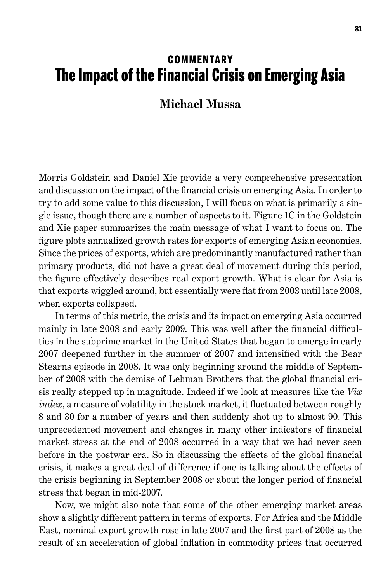## **COMMENTARY** The Impact of the Financial Crisis on Emerging Asia

## **Michael Mussa**

Morris Goldstein and Daniel Xie provide a very comprehensive presentation and discussion on the impact of the financial crisis on emerging Asia. In order to try to add some value to this discussion, I will focus on what is primarily a single issue, though there are a number of aspects to it. Figure 1C in the Goldstein and Xie paper summarizes the main message of what I want to focus on. The figure plots annualized growth rates for exports of emerging Asian economies. Since the prices of exports, which are predominantly manufactured rather than primary products, did not have a great deal of movement during this period, the figure effectively describes real export growth. What is clear for Asia is that exports wiggled around, but essentially were flat from 2003 until late 2008, when exports collapsed.

In terms of this metric, the crisis and its impact on emerging Asia occurred mainly in late 2008 and early 2009. This was well after the financial difficulties in the subprime market in the United States that began to emerge in early 2007 deepened further in the summer of 2007 and intensified with the Bear Stearns episode in 2008. It was only beginning around the middle of September of 2008 with the demise of Lehman Brothers that the global financial crisis really stepped up in magnitude. Indeed if we look at measures like the *Vix index*, a measure of volatility in the stock market, it fluctuated between roughly 8 and 30 for a number of years and then suddenly shot up to almost 90. This unprecedented movement and changes in many other indicators of financial market stress at the end of 2008 occurred in a way that we had never seen before in the postwar era. So in discussing the effects of the global financial crisis, it makes a great deal of difference if one is talking about the effects of the crisis beginning in September 2008 or about the longer period of financial stress that began in mid-2007.

Now, we might also note that some of the other emerging market areas show a slightly different pattern in terms of exports. For Africa and the Middle East, nominal export growth rose in late 2007 and the first part of 2008 as the result of an acceleration of global inflation in commodity prices that occurred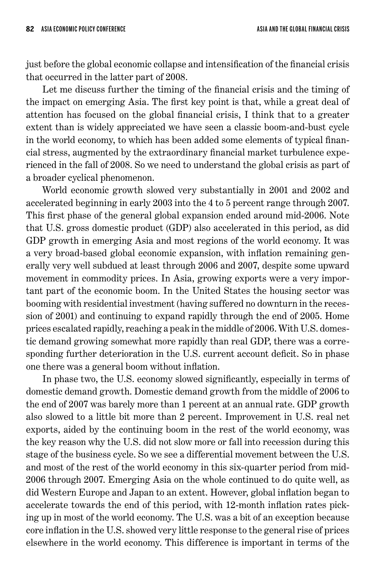just before the global economic collapse and intensification of the financial crisis that occurred in the latter part of 2008.

Let me discuss further the timing of the financial crisis and the timing of the impact on emerging Asia. The first key point is that, while a great deal of attention has focused on the global financial crisis, I think that to a greater extent than is widely appreciated we have seen a classic boom-and-bust cycle in the world economy, to which has been added some elements of typical financial stress, augmented by the extraordinary financial market turbulence experienced in the fall of 2008. So we need to understand the global crisis as part of a broader cyclical phenomenon.

World economic growth slowed very substantially in 2001 and 2002 and accelerated beginning in early 2003 into the 4 to 5 percent range through 2007. This first phase of the general global expansion ended around mid-2006. Note that U.S. gross domestic product (GDP) also accelerated in this period, as did GDP growth in emerging Asia and most regions of the world economy. It was a very broad-based global economic expansion, with inflation remaining generally very well subdued at least through 2006 and 2007, despite some upward movement in commodity prices. In Asia, growing exports were a very important part of the economic boom. In the United States the housing sector was booming with residential investment (having suffered no downturn in the recession of 2001) and continuing to expand rapidly through the end of 2005. Home prices escalated rapidly, reaching a peak in the middle of 2006. With U.S. domestic demand growing somewhat more rapidly than real GDP, there was a corresponding further deterioration in the U.S. current account deficit. So in phase one there was a general boom without inflation.

In phase two, the U.S. economy slowed significantly, especially in terms of domestic demand growth. Domestic demand growth from the middle of 2006 to the end of 2007 was barely more than 1 percent at an annual rate. GDP growth also slowed to a little bit more than 2 percent. Improvement in U.S. real net exports, aided by the continuing boom in the rest of the world economy, was the key reason why the U.S. did not slow more or fall into recession during this stage of the business cycle. So we see a differential movement between the U.S. and most of the rest of the world economy in this six-quarter period from mid-2006 through 2007. Emerging Asia on the whole continued to do quite well, as did Western Europe and Japan to an extent. However, global inflation began to accelerate towards the end of this period, with 12-month inflation rates picking up in most of the world economy. The U.S. was a bit of an exception because core inflation in the U.S. showed very little response to the general rise of prices elsewhere in the world economy. This difference is important in terms of the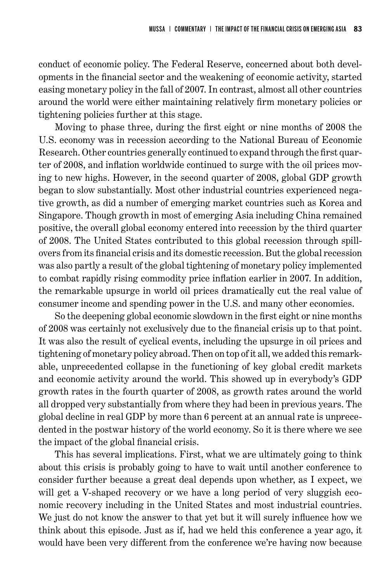conduct of economic policy. The Federal Reserve, concerned about both developments in the financial sector and the weakening of economic activity, started easing monetary policy in the fall of 2007. In contrast, almost all other countries around the world were either maintaining relatively firm monetary policies or tightening policies further at this stage.

Moving to phase three, during the first eight or nine months of 2008 the U.S. economy was in recession according to the National Bureau of Economic Research. Other countries generally continued to expand through the first quarter of 2008, and inflation worldwide continued to surge with the oil prices moving to new highs. However, in the second quarter of 2008, global GDP growth began to slow substantially. Most other industrial countries experienced negative growth, as did a number of emerging market countries such as Korea and Singapore. Though growth in most of emerging Asia including China remained positive, the overall global economy entered into recession by the third quarter of 2008. The United States contributed to this global recession through spillovers from its financial crisis and its domestic recession. But the global recession was also partly a result of the global tightening of monetary policy implemented to combat rapidly rising commodity price inflation earlier in 2007. In addition, the remarkable upsurge in world oil prices dramatically cut the real value of consumer income and spending power in the U.S. and many other economies.

So the deepening global economic slowdown in the first eight or nine months of 2008 was certainly not exclusively due to the financial crisis up to that point. It was also the result of cyclical events, including the upsurge in oil prices and tightening of monetary policy abroad. Then on top of it all, we added this remarkable, unprecedented collapse in the functioning of key global credit markets and economic activity around the world. This showed up in everybody's GDP growth rates in the fourth quarter of 2008, as growth rates around the world all dropped very substantially from where they had been in previous years. The global decline in real GDP by more than 6 percent at an annual rate is unprecedented in the postwar history of the world economy. So it is there where we see the impact of the global financial crisis.

This has several implications. First, what we are ultimately going to think about this crisis is probably going to have to wait until another conference to consider further because a great deal depends upon whether, as I expect, we will get a V-shaped recovery or we have a long period of very sluggish economic recovery including in the United States and most industrial countries. We just do not know the answer to that yet but it will surely influence how we think about this episode. Just as if, had we held this conference a year ago, it would have been very different from the conference we're having now because